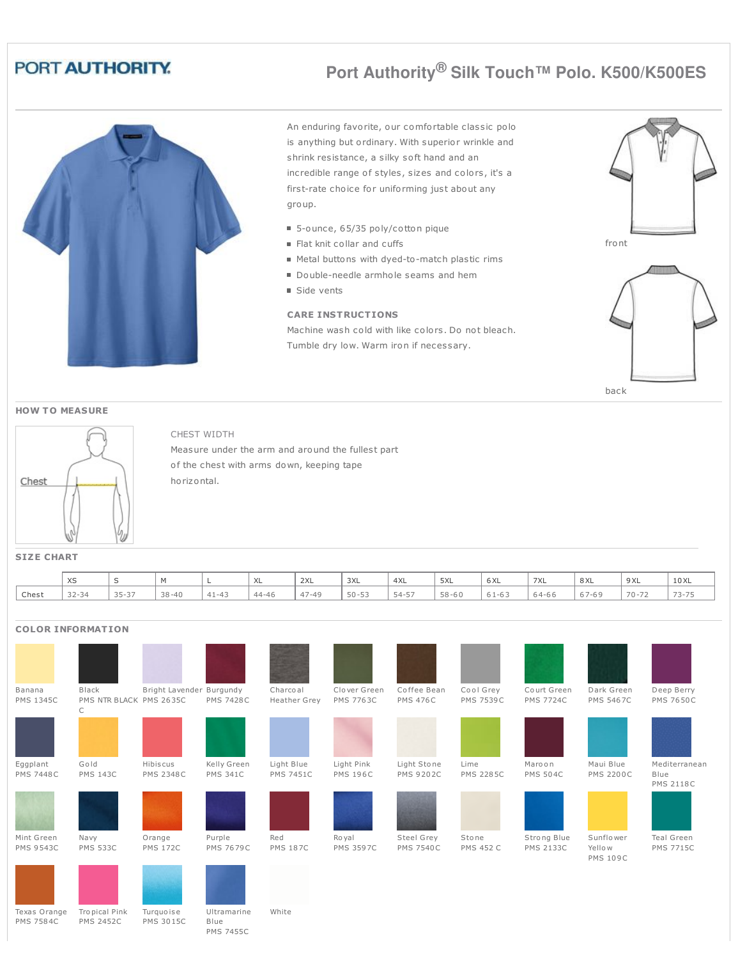## PORT AUTHORITY.

# **Port Authority® Silk Touch™ Polo. K500/K500ES**



An enduring favorite, our comfortable classic polo is anything but ordinary. With superior wrinkle and shrink resistance, a silky soft hand and an incredible range of styles, sizes and colors, it's a first-rate choice for uniforming just about any group.

- 5-ounce, 65/35 poly/cotton pique
- Flat knit collar and cuffs
- Metal buttons with dyed-to-match plastic rims
- Double-needle armhole seams and hem
- Side vents

#### **CARE INSTRUCTIONS**

Machine wash cold with like colors. Do not bleach. Tumble dry low. Warm iron if necessary.









### CHEST WIDTH

Measure under the arm and around the fullest part of the chest with arms down, keeping tape horizontal.

**SIZE CHART**

|       | $\sqrt{2}$<br>ハー |                            |           |                               | $\sqrt{2}$ | 2XL                            | 3XL       | 4XL      | 5XL       | $\sim$ $\sim$<br><b>DAL</b> | 7XL   | 8 XL   | 9 XL      | 10 XL                    |
|-------|------------------|----------------------------|-----------|-------------------------------|------------|--------------------------------|-----------|----------|-----------|-----------------------------|-------|--------|-----------|--------------------------|
| Chest | $32 - 34$        | $\sim$ $ \sim$ $-$<br>35-3 | $38 - 40$ | $A - 1$<br>$\alpha$ $-\alpha$ | $44 - 46$  | $\rightarrow$<br>$\sim$<br>4/4 | $50 - 53$ | $54 - 5$ | $58 - 60$ | - 5 T – P                   | 64-66 | $/ -0$ | $70 - 72$ | $\overline{\phantom{0}}$ |

#### **COLOR INFORMATION**

| Banana<br><b>PMS 1345C</b>     | Black<br>PMS NTR BLACK PMS 2635C | Bright Lavender Burgundy     | <b>PMS 7428C</b>               | Charcoal<br><b>Heather Grey</b> | Clover Green<br><b>PMS 7763C</b> | Coffee Bean<br><b>PMS 476C</b>  | Cool Grey<br><b>PMS 7539C</b> | Court Green<br><b>PMS 7724C</b> | Dark Green<br><b>PMS 5467C</b>         | Deep Berry<br><b>PMS 7650C</b>            |
|--------------------------------|----------------------------------|------------------------------|--------------------------------|---------------------------------|----------------------------------|---------------------------------|-------------------------------|---------------------------------|----------------------------------------|-------------------------------------------|
|                                | С                                |                              |                                |                                 |                                  |                                 |                               |                                 |                                        |                                           |
| Eggplant<br><b>PMS 7448C</b>   | Gold<br><b>PMS 143C</b>          | Hibiscus<br><b>PMS 2348C</b> | Kelly Green<br><b>PMS 341C</b> | Light Blue<br><b>PMS 7451C</b>  | Light Pink<br><b>PMS 196C</b>    | Light Stone<br><b>PMS 9202C</b> | Lime<br><b>PMS 2285C</b>      | Maroon<br><b>PMS 504C</b>       | Maui Blue<br><b>PMS 2200C</b>          | Mediterranean<br>Blue<br><b>PMS 2118C</b> |
|                                |                                  |                              |                                |                                 |                                  |                                 |                               |                                 |                                        |                                           |
| Mint Green<br><b>PMS 9543C</b> | Navy<br><b>PMS 533C</b>          | Orange<br><b>PMS 172C</b>    | Purple<br><b>PMS 7679C</b>     | Red<br><b>PMS 187C</b>          | Ro yal<br><b>PMS 3597C</b>       | Steel Grey<br><b>PMS 7540C</b>  | Stone<br><b>PMS 452 C</b>     | Strong Blue<br><b>PMS 2133C</b> | Sunflower<br>Yellow<br><b>PMS 109C</b> | Teal Green<br><b>PMS 7715C</b>            |
|                                |                                  |                              |                                |                                 |                                  |                                 |                               |                                 |                                        |                                           |
| Texas Orange                   | Tropical Pink                    | Turquoise                    | Ultramarine                    | White                           |                                  |                                 |                               |                                 |                                        |                                           |

PMS 7584C PMS 2452C PMS 3015C Blue PMS 7455C